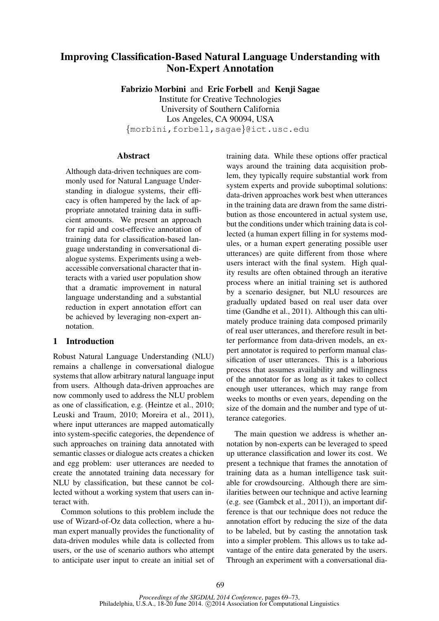# Improving Classification-Based Natural Language Understanding with Non-Expert Annotation

Fabrizio Morbini and Eric Forbell and Kenji Sagae Institute for Creative Technologies University of Southern California Los Angeles, CA 90094, USA {morbini,forbell,sagae}@ict.usc.edu

# **Abstract**

Although data-driven techniques are commonly used for Natural Language Understanding in dialogue systems, their efficacy is often hampered by the lack of appropriate annotated training data in sufficient amounts. We present an approach for rapid and cost-effective annotation of training data for classification-based language understanding in conversational dialogue systems. Experiments using a webaccessible conversational character that interacts with a varied user population show that a dramatic improvement in natural language understanding and a substantial reduction in expert annotation effort can be achieved by leveraging non-expert annotation.

# 1 Introduction

Robust Natural Language Understanding (NLU) remains a challenge in conversational dialogue systems that allow arbitrary natural language input from users. Although data-driven approaches are now commonly used to address the NLU problem as one of classification, e.g. (Heintze et al., 2010; Leuski and Traum, 2010; Moreira et al., 2011), where input utterances are mapped automatically into system-specific categories, the dependence of such approaches on training data annotated with semantic classes or dialogue acts creates a chicken and egg problem: user utterances are needed to create the annotated training data necessary for NLU by classification, but these cannot be collected without a working system that users can interact with.

Common solutions to this problem include the use of Wizard-of-Oz data collection, where a human expert manually provides the functionality of data-driven modules while data is collected from users, or the use of scenario authors who attempt to anticipate user input to create an initial set of training data. While these options offer practical ways around the training data acquisition problem, they typically require substantial work from system experts and provide suboptimal solutions: data-driven approaches work best when utterances in the training data are drawn from the same distribution as those encountered in actual system use, but the conditions under which training data is collected (a human expert filling in for systems modules, or a human expert generating possible user utterances) are quite different from those where users interact with the final system. High quality results are often obtained through an iterative process where an initial training set is authored by a scenario designer, but NLU resources are gradually updated based on real user data over time (Gandhe et al., 2011). Although this can ultimately produce training data composed primarily of real user utterances, and therefore result in better performance from data-driven models, an expert annotator is required to perform manual classification of user utterances. This is a laborious process that assumes availability and willingness of the annotator for as long as it takes to collect enough user utterances, which may range from weeks to months or even years, depending on the size of the domain and the number and type of utterance categories.

The main question we address is whether annotation by non-experts can be leveraged to speed up utterance classification and lower its cost. We present a technique that frames the annotation of training data as a human intelligence task suitable for crowdsourcing. Although there are similarities between our technique and active learning (e.g. see (Gambck et al., 2011)), an important difference is that our technique does not reduce the annotation effort by reducing the size of the data to be labeled, but by casting the annotation task into a simpler problem. This allows us to take advantage of the entire data generated by the users. Through an experiment with a conversational dia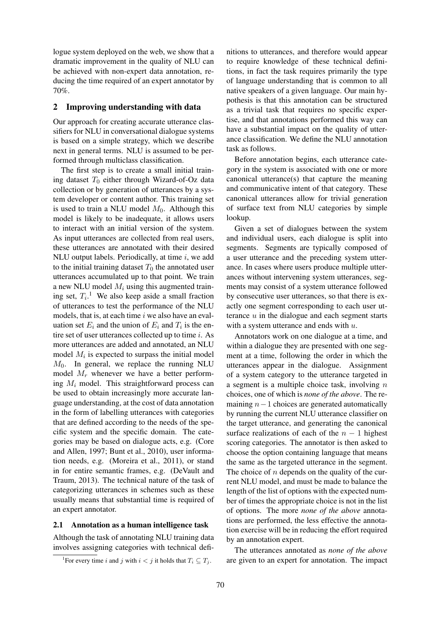logue system deployed on the web, we show that a dramatic improvement in the quality of NLU can be achieved with non-expert data annotation, reducing the time required of an expert annotator by 70%.

## 2 Improving understanding with data

Our approach for creating accurate utterance classifiers for NLU in conversational dialogue systems is based on a simple strategy, which we describe next in general terms. NLU is assumed to be performed through multiclass classification.

The first step is to create a small initial training dataset  $T_0$  either through Wizard-of-Oz data collection or by generation of utterances by a system developer or content author. This training set is used to train a NLU model  $M_0$ . Although this model is likely to be inadequate, it allows users to interact with an initial version of the system. As input utterances are collected from real users, these utterances are annotated with their desired NLU output labels. Periodically, at time  $i$ , we add to the initial training dataset  $T_0$  the annotated user utterances accumulated up to that point. We train a new NLU model  $M_i$  using this augmented training set,  $T_i$ .<sup>1</sup> We also keep aside a small fraction of utterances to test the performance of the NLU models, that is, at each time  $i$  we also have an evaluation set  $E_i$  and the union of  $E_i$  and  $T_i$  is the entire set of user utterances collected up to time i. As more utterances are added and annotated, an NLU model  $M_i$  is expected to surpass the initial model  $M_0$ . In general, we replace the running NLU model  $M_r$  whenever we have a better performing  $M_i$  model. This straightforward process can be used to obtain increasingly more accurate language understanding, at the cost of data annotation in the form of labelling utterances with categories that are defined according to the needs of the specific system and the specific domain. The categories may be based on dialogue acts, e.g. (Core and Allen, 1997; Bunt et al., 2010), user information needs, e.g. (Moreira et al., 2011), or stand in for entire semantic frames, e.g. (DeVault and Traum, 2013). The technical nature of the task of categorizing utterances in schemes such as these usually means that substantial time is required of an expert annotator.

#### 2.1 Annotation as a human intelligence task

Although the task of annotating NLU training data involves assigning categories with technical defi-

nitions to utterances, and therefore would appear to require knowledge of these technical definitions, in fact the task requires primarily the type of language understanding that is common to all native speakers of a given language. Our main hypothesis is that this annotation can be structured as a trivial task that requires no specific expertise, and that annotations performed this way can have a substantial impact on the quality of utterance classification. We define the NLU annotation task as follows.

Before annotation begins, each utterance category in the system is associated with one or more canonical utterance(s) that capture the meaning and communicative intent of that category. These canonical utterances allow for trivial generation of surface text from NLU categories by simple lookup.

Given a set of dialogues between the system and individual users, each dialogue is split into segments. Segments are typically composed of a user utterance and the preceding system utterance. In cases where users produce multiple utterances without intervening system utterances, segments may consist of a system utterance followed by consecutive user utterances, so that there is exactly one segment corresponding to each user utterance  $u$  in the dialogue and each segment starts with a system utterance and ends with  $u$ .

Annotators work on one dialogue at a time, and within a dialogue they are presented with one segment at a time, following the order in which the utterances appear in the dialogue. Assignment of a system category to the utterance targeted in a segment is a multiple choice task, involving  $n$ choices, one of which is *none of the above*. The remaining  $n-1$  choices are generated automatically by running the current NLU utterance classifier on the target utterance, and generating the canonical surface realizations of each of the  $n - 1$  highest scoring categories. The annotator is then asked to choose the option containing language that means the same as the targeted utterance in the segment. The choice of  $n$  depends on the quality of the current NLU model, and must be made to balance the length of the list of options with the expected number of times the appropriate choice is not in the list of options. The more *none of the above* annotations are performed, the less effective the annotation exercise will be in reducing the effort required by an annotation expert.

The utterances annotated as *none of the above* are given to an expert for annotation. The impact

<sup>&</sup>lt;sup>1</sup>For every time *i* and *j* with  $i < j$  it holds that  $T_i \subseteq T_j$ .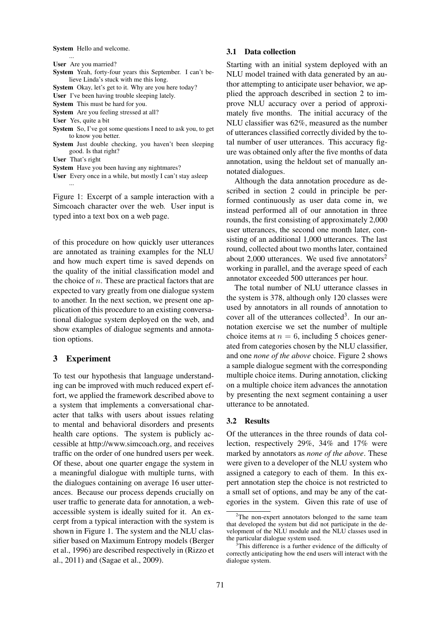System Hello and welcome.

User Are you married?

...

- System Yeah, forty-four years this September. I can't believe Linda's stuck with me this long.
- System Okay, let's get to it. Why are you here today?
- User I've been having trouble sleeping lately.

System This must be hard for you.

System Are you feeling stressed at all?

- User Yes, quite a bit
- System So, I've got some questions I need to ask you, to get to know you better.
- System Just double checking, you haven't been sleeping good. Is that right?

User That's right

System Have you been having any nightmares?

User Every once in a while, but mostly I can't stay asleep ...

Figure 1: Excerpt of a sample interaction with a Simcoach character over the web. User input is typed into a text box on a web page.

of this procedure on how quickly user utterances are annotated as training examples for the NLU and how much expert time is saved depends on the quality of the initial classification model and the choice of  $n$ . These are practical factors that are expected to vary greatly from one dialogue system to another. In the next section, we present one application of this procedure to an existing conversational dialogue system deployed on the web, and show examples of dialogue segments and annotation options.

# 3 Experiment

To test our hypothesis that language understanding can be improved with much reduced expert effort, we applied the framework described above to a system that implements a conversational character that talks with users about issues relating to mental and behavioral disorders and presents health care options. The system is publicly accessible at http://www.simcoach.org, and receives traffic on the order of one hundred users per week. Of these, about one quarter engage the system in a meaningful dialogue with multiple turns, with the dialogues containing on average 16 user utterances. Because our process depends crucially on user traffic to generate data for annotation, a webaccessible system is ideally suited for it. An excerpt from a typical interaction with the system is shown in Figure 1. The system and the NLU classifier based on Maximum Entropy models (Berger et al., 1996) are described respectively in (Rizzo et al., 2011) and (Sagae et al., 2009).

#### 3.1 Data collection

Starting with an initial system deployed with an NLU model trained with data generated by an author attempting to anticipate user behavior, we applied the approach described in section 2 to improve NLU accuracy over a period of approximately five months. The initial accuracy of the NLU classifier was 62%, measured as the number of utterances classified correctly divided by the total number of user utterances. This accuracy figure was obtained only after the five months of data annotation, using the heldout set of manually annotated dialogues.

Although the data annotation procedure as described in section 2 could in principle be performed continuously as user data come in, we instead performed all of our annotation in three rounds, the first consisting of approximately 2,000 user utterances, the second one month later, consisting of an additional 1,000 utterances. The last round, collected about two months later, contained about 2,000 utterances. We used five annotators<sup>2</sup> working in parallel, and the average speed of each annotator exceeded 500 utterances per hour.

The total number of NLU utterance classes in the system is 378, although only 120 classes were used by annotators in all rounds of annotation to cover all of the utterances collected<sup>3</sup>. In our annotation exercise we set the number of multiple choice items at  $n = 6$ , including 5 choices generated from categories chosen by the NLU classifier, and one *none of the above* choice. Figure 2 shows a sample dialogue segment with the corresponding multiple choice items. During annotation, clicking on a multiple choice item advances the annotation by presenting the next segment containing a user utterance to be annotated.

## 3.2 Results

Of the utterances in the three rounds of data collection, respectively 29%, 34% and 17% were marked by annotators as *none of the above*. These were given to a developer of the NLU system who assigned a category to each of them. In this expert annotation step the choice is not restricted to a small set of options, and may be any of the categories in the system. Given this rate of use of

 $2$ The non-expert annotators belonged to the same team that developed the system but did not participate in the development of the NLU module and the NLU classes used in the particular dialogue system used.

This difference is a further evidence of the difficulty of correctly anticipating how the end users will interact with the dialogue system.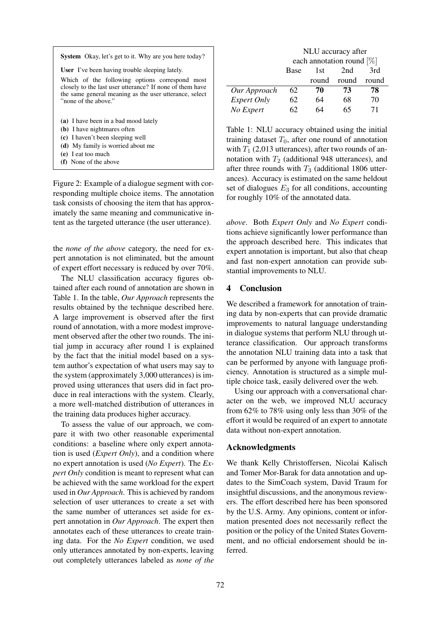| <b>System</b> Okay, let's get to it. Why are you here today?                                                                                                                                 |  |
|----------------------------------------------------------------------------------------------------------------------------------------------------------------------------------------------|--|
| <b>User</b> I've been having trouble sleeping lately.                                                                                                                                        |  |
| Which of the following options correspond most<br>closely to the last user utterance? If none of them have<br>the same general meaning as the user utterance, select<br>"none of the above." |  |
| (a) I have been in a bad mood lately                                                                                                                                                         |  |
| (b) I have nightmares often                                                                                                                                                                  |  |
| (c) I haven't been sleeping well                                                                                                                                                             |  |
| (d) My family is worried about me                                                                                                                                                            |  |
| (e) I eat too much                                                                                                                                                                           |  |
|                                                                                                                                                                                              |  |

(f) None of the above

Figure 2: Example of a dialogue segment with corresponding multiple choice items. The annotation task consists of choosing the item that has approximately the same meaning and communicative intent as the targeted utterance (the user utterance).

the *none of the above* category, the need for expert annotation is not eliminated, but the amount of expert effort necessary is reduced by over 70%.

The NLU classification accuracy figures obtained after each round of annotation are shown in Table 1. In the table, *Our Approach* represents the results obtained by the technique described here. A large improvement is observed after the first round of annotation, with a more modest improvement observed after the other two rounds. The initial jump in accuracy after round 1 is explained by the fact that the initial model based on a system author's expectation of what users may say to the system (approximately 3,000 utterances) is improved using utterances that users did in fact produce in real interactions with the system. Clearly, a more well-matched distribution of utterances in the training data produces higher accuracy.

To assess the value of our approach, we compare it with two other reasonable experimental conditions: a baseline where only expert annotation is used (*Expert Only*), and a condition where no expert annotation is used (*No Expert*). The *Expert Only* condition is meant to represent what can be achieved with the same workload for the expert used in *Our Approach*. This is achieved by random selection of user utterances to create a set with the same number of utterances set aside for expert annotation in *Our Approach*. The expert then annotates each of these utterances to create training data. For the *No Expert* condition, we used only utterances annotated by non-experts, leaving out completely utterances labeled as *none of the*

|                    | NLU accuracy after           |       |                |       |
|--------------------|------------------------------|-------|----------------|-------|
|                    | each annotation round $[\%]$ |       |                |       |
|                    | <b>Base</b>                  | 1st   | 2nd            | 3rd   |
|                    |                              | round | round          | round |
| Our Approach       | 62                           | 70    | 73             | 78    |
| <i>Expert Only</i> | 62                           | 64    | 68             | 70    |
| No Expert          | 62                           | 64    | n <sub>2</sub> | 71    |

Table 1: NLU accuracy obtained using the initial training dataset  $T_0$ , after one round of annotation with  $T_1$  (2,013 utterances), after two rounds of annotation with  $T_2$  (additional 948 utterances), and after three rounds with  $T_3$  (additional 1806 utterances). Accuracy is estimated on the same heldout set of dialogues  $E_3$  for all conditions, accounting for roughly 10% of the annotated data.

*above*. Both *Expert Only* and *No Expert* conditions achieve significantly lower performance than the approach described here. This indicates that expert annotation is important, but also that cheap and fast non-expert annotation can provide substantial improvements to NLU.

# 4 Conclusion

We described a framework for annotation of training data by non-experts that can provide dramatic improvements to natural language understanding in dialogue systems that perform NLU through utterance classification. Our approach transforms the annotation NLU training data into a task that can be performed by anyone with language proficiency. Annotation is structured as a simple multiple choice task, easily delivered over the web.

Using our approach with a conversational character on the web, we improved NLU accuracy from 62% to 78% using only less than 30% of the effort it would be required of an expert to annotate data without non-expert annotation.

## Acknowledgments

We thank Kelly Christoffersen, Nicolai Kalisch and Tomer Mor-Barak for data annotation and updates to the SimCoach system, David Traum for insightful discussions, and the anonymous reviewers. The effort described here has been sponsored by the U.S. Army. Any opinions, content or information presented does not necessarily reflect the position or the policy of the United States Government, and no official endorsement should be inferred.